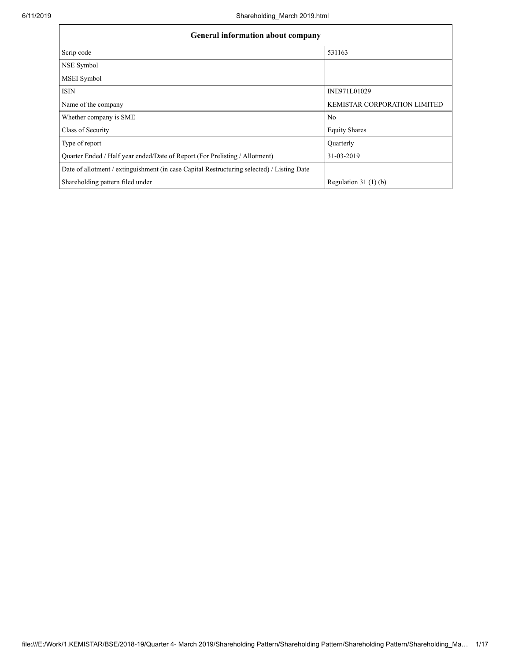| <b>General information about company</b>                                                   |                                     |  |  |  |  |  |  |  |  |
|--------------------------------------------------------------------------------------------|-------------------------------------|--|--|--|--|--|--|--|--|
| Scrip code                                                                                 | 531163                              |  |  |  |  |  |  |  |  |
| NSE Symbol                                                                                 |                                     |  |  |  |  |  |  |  |  |
| <b>MSEI</b> Symbol                                                                         |                                     |  |  |  |  |  |  |  |  |
| <b>ISIN</b>                                                                                | INE971L01029                        |  |  |  |  |  |  |  |  |
| Name of the company                                                                        | <b>KEMISTAR CORPORATION LIMITED</b> |  |  |  |  |  |  |  |  |
| Whether company is SME                                                                     | N <sub>0</sub>                      |  |  |  |  |  |  |  |  |
| Class of Security                                                                          | <b>Equity Shares</b>                |  |  |  |  |  |  |  |  |
| Type of report                                                                             | Quarterly                           |  |  |  |  |  |  |  |  |
| Quarter Ended / Half year ended/Date of Report (For Prelisting / Allotment)                | 31-03-2019                          |  |  |  |  |  |  |  |  |
| Date of allotment / extinguishment (in case Capital Restructuring selected) / Listing Date |                                     |  |  |  |  |  |  |  |  |
| Shareholding pattern filed under                                                           | Regulation $31(1)(b)$               |  |  |  |  |  |  |  |  |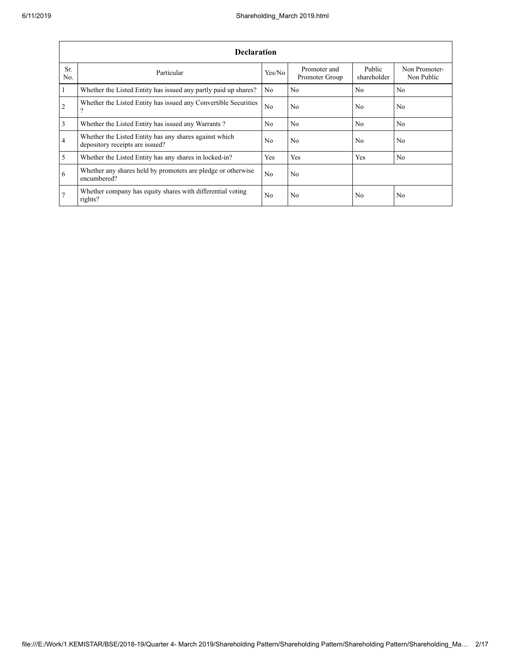|                         | <b>Declaration</b>                                                                          |                |                                |                       |                             |  |  |  |  |  |  |  |
|-------------------------|---------------------------------------------------------------------------------------------|----------------|--------------------------------|-----------------------|-----------------------------|--|--|--|--|--|--|--|
| Sr.<br>No.              | Particular                                                                                  | Yes/No         | Promoter and<br>Promoter Group | Public<br>shareholder | Non Promoter-<br>Non Public |  |  |  |  |  |  |  |
| $\overline{1}$          | Whether the Listed Entity has issued any partly paid up shares?                             | No             | N <sub>0</sub>                 | No                    | N <sub>0</sub>              |  |  |  |  |  |  |  |
| $\overline{2}$          | Whether the Listed Entity has issued any Convertible Securities<br>$\overline{\mathcal{L}}$ | N <sub>0</sub> | N <sub>0</sub>                 | No.                   | N <sub>0</sub>              |  |  |  |  |  |  |  |
| $\overline{\mathbf{3}}$ | Whether the Listed Entity has issued any Warrants?                                          | No.            | N <sub>0</sub>                 | N <sub>0</sub>        | N <sub>0</sub>              |  |  |  |  |  |  |  |
| $\overline{4}$          | Whether the Listed Entity has any shares against which<br>depository receipts are issued?   | No.            | N <sub>0</sub>                 | No.                   | N <sub>0</sub>              |  |  |  |  |  |  |  |
| $\overline{5}$          | Whether the Listed Entity has any shares in locked-in?                                      | <b>Yes</b>     | Yes                            | Yes                   | N <sub>0</sub>              |  |  |  |  |  |  |  |
| 6                       | Whether any shares held by promoters are pledge or otherwise<br>encumbered?                 | N <sub>0</sub> | N <sub>0</sub>                 |                       |                             |  |  |  |  |  |  |  |
| 7                       | Whether company has equity shares with differential voting<br>rights?                       | No.            | No                             | No.                   | N <sub>0</sub>              |  |  |  |  |  |  |  |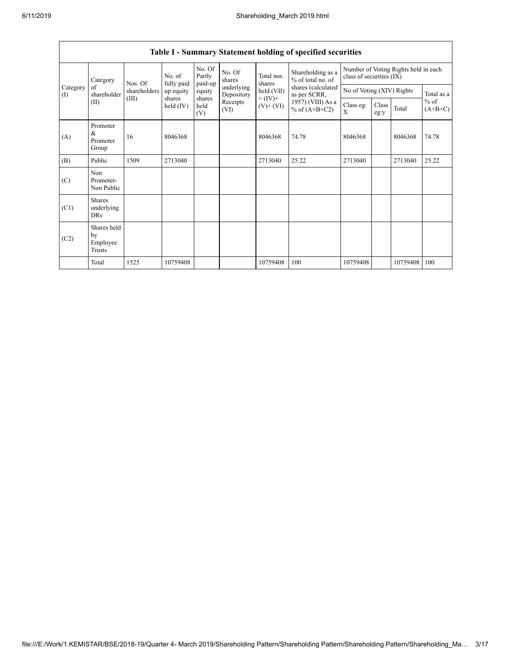|                 | Category                                  | No. of<br>Nos. Of<br>fully paid<br>shareholders<br>(III)<br>shares |             | No. Of<br>Partly<br>paid-up | No. Of<br>shares         | Total nos.<br>shares         | Shareholding as a<br>% of total no. of | Number of Voting Rights held in each<br>class of securities (IX) |               |          |                     |
|-----------------|-------------------------------------------|--------------------------------------------------------------------|-------------|-----------------------------|--------------------------|------------------------------|----------------------------------------|------------------------------------------------------------------|---------------|----------|---------------------|
| Category<br>(1) | of<br>shareholder                         |                                                                    | up equity   | equity                      | underlying<br>Depository | held (VII)                   | shares (calculated<br>as per SCRR,     | No of Voting (XIV) Rights                                        |               |          | Total as a          |
|                 | (II)                                      |                                                                    | held $(IV)$ | shares<br>held<br>(V)       | Receipts<br>(VI)         | $= (IV) +$<br>$(V)$ + $(VI)$ | 1957) (VIII) As a<br>% of $(A+B+C2)$   | Class eg:<br>X                                                   | Class<br>eg:y | Total    | $%$ of<br>$(A+B+C)$ |
| (A)             | Promoter<br>&<br>Promoter<br>Group        | 16                                                                 | 8046368     |                             |                          | 8046368                      | 74.78                                  | 8046368                                                          |               | 8046368  | 74.78               |
| (B)             | Public                                    | 1509                                                               | 2713040     |                             |                          | 2713040                      | 25.22                                  | 2713040                                                          |               | 2713040  | 25.22               |
| (C)             | Non<br>Promoter-<br>Non Public            |                                                                    |             |                             |                          |                              |                                        |                                                                  |               |          |                     |
| (C1)            | <b>Shares</b><br>underlying<br><b>DRs</b> |                                                                    |             |                             |                          |                              |                                        |                                                                  |               |          |                     |
| (C2)            | Shares held<br>by<br>Employee<br>Trusts   |                                                                    |             |                             |                          |                              |                                        |                                                                  |               |          |                     |
|                 | Total                                     | 1525                                                               | 10759408    |                             |                          | 10759408                     | 100                                    | 10759408                                                         |               | 10759408 | 100                 |

## **Table I - Summary Statement holding of specified securities**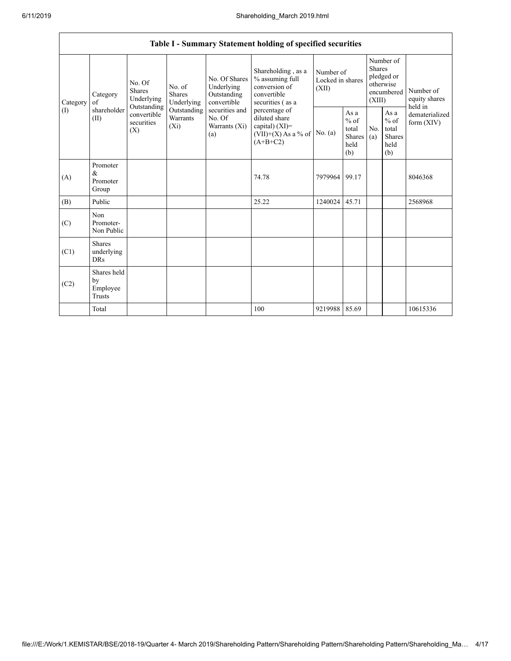|                 | Table I - Summary Statement holding of specified securities |                                                                                                                                                                  |  |                                                           |                                                                                            |                                        |                                                  |                                                                               |                                                         |                                       |  |
|-----------------|-------------------------------------------------------------|------------------------------------------------------------------------------------------------------------------------------------------------------------------|--|-----------------------------------------------------------|--------------------------------------------------------------------------------------------|----------------------------------------|--------------------------------------------------|-------------------------------------------------------------------------------|---------------------------------------------------------|---------------------------------------|--|
| Category<br>(1) | Category<br>of<br>shareholder<br>(II)                       | No. Of<br>No. of<br><b>Shares</b><br>Shares<br>Underlying<br>Underlying<br>Outstanding<br>Outstanding<br>convertible<br>Warrants<br>securities<br>$(X_i)$<br>(X) |  | No. Of Shares<br>Underlying<br>Outstanding<br>convertible | Shareholding, as a<br>% assuming full<br>conversion of<br>convertible<br>securities (as a  | Number of<br>Locked in shares<br>(XII) |                                                  | Number of<br><b>Shares</b><br>pledged or<br>otherwise<br>encumbered<br>(XIII) |                                                         | Number of<br>equity shares<br>held in |  |
|                 |                                                             |                                                                                                                                                                  |  | securities and<br>No. Of<br>Warrants (Xi)<br>(a)          | percentage of<br>diluted share<br>capital) $(XI)$ =<br>$(VII)+(X)$ As a % of<br>$(A+B+C2)$ | No. $(a)$                              | As a<br>$%$ of<br>total<br>Shares<br>held<br>(b) | No.<br>(a)                                                                    | As a<br>$%$ of<br>total<br><b>Shares</b><br>held<br>(b) | dematerialized<br>form $(XIV)$        |  |
| (A)             | Promoter<br>&<br>Promoter<br>Group                          |                                                                                                                                                                  |  |                                                           | 74.78                                                                                      | 7979964                                | 99.17                                            |                                                                               |                                                         | 8046368                               |  |
| (B)             | Public                                                      |                                                                                                                                                                  |  |                                                           | 25.22                                                                                      | 1240024                                | 45.71                                            |                                                                               |                                                         | 2568968                               |  |
| (C)             | Non<br>Promoter-<br>Non Public                              |                                                                                                                                                                  |  |                                                           |                                                                                            |                                        |                                                  |                                                                               |                                                         |                                       |  |
| (C1)            | <b>Shares</b><br>underlying<br><b>DRs</b>                   |                                                                                                                                                                  |  |                                                           |                                                                                            |                                        |                                                  |                                                                               |                                                         |                                       |  |
| (C2)            | Shares held<br>by<br>Employee<br>Trusts                     |                                                                                                                                                                  |  |                                                           |                                                                                            |                                        |                                                  |                                                                               |                                                         |                                       |  |
|                 | Total                                                       |                                                                                                                                                                  |  |                                                           | 100                                                                                        | 9219988                                | 85.69                                            |                                                                               |                                                         | 10615336                              |  |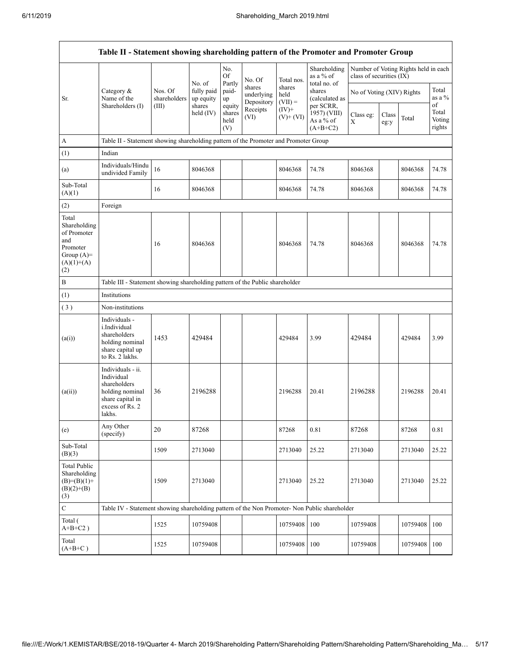|                                                                                                | Table II - Statement showing shareholding pattern of the Promoter and Promoter Group                                |                         |                                   |                                 |                                    |                             |                                                      |                           |               |                                      |                                 |
|------------------------------------------------------------------------------------------------|---------------------------------------------------------------------------------------------------------------------|-------------------------|-----------------------------------|---------------------------------|------------------------------------|-----------------------------|------------------------------------------------------|---------------------------|---------------|--------------------------------------|---------------------------------|
|                                                                                                |                                                                                                                     |                         |                                   | No.<br><b>Of</b>                | No. Of                             | Total nos.                  | Shareholding<br>as a % of                            | class of securities (IX)  |               | Number of Voting Rights held in each |                                 |
| Sr.                                                                                            | Category &<br>Name of the                                                                                           | Nos. Of<br>shareholders | No. of<br>fully paid<br>up equity | Partly<br>paid-<br>up           | shares<br>underlying<br>Depository | shares<br>held<br>$(VII) =$ | total no. of<br>shares<br>(calculated as             | No of Voting (XIV) Rights |               |                                      | Total<br>as a %                 |
|                                                                                                | Shareholders (I)                                                                                                    | (III)                   | shares<br>held $(IV)$             | equity<br>shares<br>held<br>(V) | Receipts<br>(VI)                   | $(IV)+$<br>$(V)+(VI)$       | per SCRR.<br>1957) (VIII)<br>As a % of<br>$(A+B+C2)$ | Class eg:<br>X            | Class<br>eg:y | Total                                | of<br>Total<br>Voting<br>rights |
| $\boldsymbol{A}$                                                                               | Table II - Statement showing shareholding pattern of the Promoter and Promoter Group                                |                         |                                   |                                 |                                    |                             |                                                      |                           |               |                                      |                                 |
| (1)                                                                                            | Indian                                                                                                              |                         |                                   |                                 |                                    |                             |                                                      |                           |               |                                      |                                 |
| (a)                                                                                            | Individuals/Hindu<br>undivided Family                                                                               | 16                      | 8046368                           |                                 |                                    | 8046368                     | 74.78                                                | 8046368                   |               | 8046368                              | 74.78                           |
| Sub-Total<br>(A)(1)                                                                            |                                                                                                                     | 16                      | 8046368                           |                                 |                                    | 8046368                     | 74.78                                                | 8046368                   |               | 8046368                              | 74.78                           |
| (2)                                                                                            | Foreign                                                                                                             |                         |                                   |                                 |                                    |                             |                                                      |                           |               |                                      |                                 |
| Total<br>Shareholding<br>of Promoter<br>and<br>Promoter<br>Group $(A)=$<br>$(A)(1)+(A)$<br>(2) |                                                                                                                     | 16                      | 8046368                           |                                 |                                    | 8046368                     | 74.78                                                | 8046368                   |               | 8046368                              | 74.78                           |
| $\, {\bf B}$                                                                                   | Table III - Statement showing shareholding pattern of the Public shareholder                                        |                         |                                   |                                 |                                    |                             |                                                      |                           |               |                                      |                                 |
| (1)                                                                                            | Institutions                                                                                                        |                         |                                   |                                 |                                    |                             |                                                      |                           |               |                                      |                                 |
| (3)                                                                                            | Non-institutions                                                                                                    |                         |                                   |                                 |                                    |                             |                                                      |                           |               |                                      |                                 |
| (a(i))                                                                                         | Individuals -<br>i.Individual<br>shareholders<br>holding nominal<br>share capital up<br>to Rs. 2 lakhs.             | 1453                    | 429484                            |                                 |                                    | 429484                      | 3.99                                                 | 429484                    |               | 429484                               | 3.99                            |
| (a(ii))                                                                                        | Individuals - ii.<br>Individual<br>shareholders<br>holding nominal<br>share capital in<br>excess of Rs. 2<br>lakhs. | 36                      | 2196288                           |                                 |                                    | 2196288                     | 20.41                                                | 2196288                   |               | 2196288                              | 20.41                           |
| (e)                                                                                            | Any Other<br>(specify)                                                                                              | 20                      | 87268                             |                                 |                                    | 87268                       | 0.81                                                 | 87268                     |               | 87268                                | 0.81                            |
| Sub-Total<br>(B)(3)                                                                            |                                                                                                                     | 1509                    | 2713040                           |                                 |                                    | 2713040                     | 25.22                                                | 2713040                   |               | 2713040                              | 25.22                           |
| <b>Total Public</b><br>Shareholding<br>$(B)=(B)(1)+$<br>$(B)(2)+(B)$<br>(3)                    |                                                                                                                     | 1509                    | 2713040                           |                                 |                                    | 2713040                     | 25.22                                                | 2713040                   |               | 2713040                              | 25.22                           |
| $\mathbf C$                                                                                    | Table IV - Statement showing shareholding pattern of the Non Promoter- Non Public shareholder                       |                         |                                   |                                 |                                    |                             |                                                      |                           |               |                                      |                                 |
| Total (<br>$A+B+C2$ )                                                                          |                                                                                                                     | 1525                    | 10759408                          |                                 |                                    | 10759408                    | 100                                                  | 10759408                  |               | 10759408                             | 100                             |
| Total<br>$(A+B+C)$                                                                             |                                                                                                                     | 1525                    | 10759408                          |                                 |                                    | 10759408                    | 100                                                  | 10759408                  |               | 10759408                             | 100                             |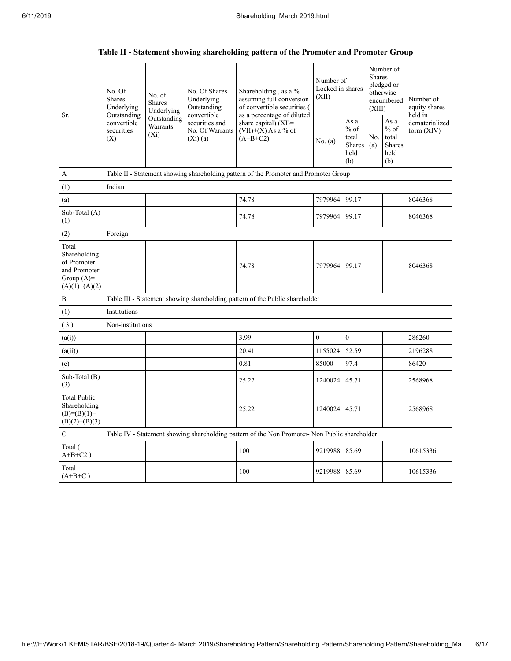Г

|                                                                                         | Table II - Statement showing shareholding pattern of the Promoter and Promoter Group |                                       |                                                           |                                                                                                               |                                        |                                                  |                                                                               |                                                         |                                       |  |  |  |
|-----------------------------------------------------------------------------------------|--------------------------------------------------------------------------------------|---------------------------------------|-----------------------------------------------------------|---------------------------------------------------------------------------------------------------------------|----------------------------------------|--------------------------------------------------|-------------------------------------------------------------------------------|---------------------------------------------------------|---------------------------------------|--|--|--|
|                                                                                         | No. Of<br><b>Shares</b><br>Underlying                                                | No. of<br><b>Shares</b><br>Underlying | No. Of Shares<br>Underlying<br>Outstanding<br>convertible | Shareholding, as a %<br>assuming full conversion<br>of convertible securities (<br>as a percentage of diluted | Number of<br>Locked in shares<br>(XII) |                                                  | Number of<br><b>Shares</b><br>pledged or<br>otherwise<br>encumbered<br>(XIII) |                                                         | Number of<br>equity shares<br>held in |  |  |  |
| Sr.                                                                                     | Outstanding<br>convertible<br>securities<br>(X)                                      | Outstanding<br>Warrants<br>$(X_i)$    | securities and<br>No. Of Warrants<br>(Xi)(a)              | share capital) (XI)=<br>$(VII)+(X)$ As a % of<br>$(A+B+C2)$                                                   | No. (a)                                | As a<br>$%$ of<br>total<br>Shares<br>held<br>(b) | No.<br>(a)                                                                    | As a<br>$%$ of<br>total<br><b>Shares</b><br>held<br>(b) | dematerialized<br>form $(XIV)$        |  |  |  |
| A                                                                                       |                                                                                      |                                       |                                                           | Table II - Statement showing shareholding pattern of the Promoter and Promoter Group                          |                                        |                                                  |                                                                               |                                                         |                                       |  |  |  |
| (1)                                                                                     | Indian                                                                               |                                       |                                                           |                                                                                                               |                                        |                                                  |                                                                               |                                                         |                                       |  |  |  |
| (a)                                                                                     |                                                                                      |                                       |                                                           | 74.78                                                                                                         | 7979964                                | 99.17                                            |                                                                               |                                                         | 8046368                               |  |  |  |
| Sub-Total (A)<br>(1)                                                                    |                                                                                      |                                       |                                                           | 74.78                                                                                                         | 7979964                                | 99.17                                            |                                                                               |                                                         | 8046368                               |  |  |  |
| (2)                                                                                     | Foreign                                                                              |                                       |                                                           |                                                                                                               |                                        |                                                  |                                                                               |                                                         |                                       |  |  |  |
| Total<br>Shareholding<br>of Promoter<br>and Promoter<br>Group $(A)=$<br>$(A)(1)+(A)(2)$ |                                                                                      |                                       |                                                           | 74.78                                                                                                         | 7979964                                | 99.17                                            |                                                                               |                                                         | 8046368                               |  |  |  |
| $\, {\bf B}$                                                                            |                                                                                      |                                       |                                                           | Table III - Statement showing shareholding pattern of the Public shareholder                                  |                                        |                                                  |                                                                               |                                                         |                                       |  |  |  |
| (1)                                                                                     | Institutions                                                                         |                                       |                                                           |                                                                                                               |                                        |                                                  |                                                                               |                                                         |                                       |  |  |  |
| (3)                                                                                     | Non-institutions                                                                     |                                       |                                                           |                                                                                                               |                                        |                                                  |                                                                               |                                                         |                                       |  |  |  |
| (a(i))                                                                                  |                                                                                      |                                       |                                                           | 3.99                                                                                                          | $\boldsymbol{0}$                       | $\boldsymbol{0}$                                 |                                                                               |                                                         | 286260                                |  |  |  |
| (a(ii))                                                                                 |                                                                                      |                                       |                                                           | 20.41                                                                                                         | 1155024                                | 52.59                                            |                                                                               |                                                         | 2196288                               |  |  |  |
| (e)                                                                                     |                                                                                      |                                       |                                                           | 0.81                                                                                                          | 85000                                  | 97.4                                             |                                                                               |                                                         | 86420                                 |  |  |  |
| Sub-Total (B)<br>(3)                                                                    |                                                                                      |                                       |                                                           | 25.22                                                                                                         | 1240024                                | 45.71                                            |                                                                               |                                                         | 2568968                               |  |  |  |
| <b>Total Public</b><br>Shareholding<br>$(B)=(B)(1)+$<br>$(B)(2)+(B)(3)$                 |                                                                                      |                                       |                                                           | 25.22                                                                                                         | 1240024                                | 45.71                                            |                                                                               |                                                         | 2568968                               |  |  |  |
| $\mathbf C$                                                                             |                                                                                      |                                       |                                                           | Table IV - Statement showing shareholding pattern of the Non Promoter- Non Public shareholder                 |                                        |                                                  |                                                                               |                                                         |                                       |  |  |  |
| Total (<br>$A+B+C2$ )                                                                   |                                                                                      |                                       |                                                           | 100                                                                                                           | 9219988                                | 85.69                                            |                                                                               |                                                         | 10615336                              |  |  |  |
| Total<br>$(A+B+C)$                                                                      |                                                                                      |                                       |                                                           | 100                                                                                                           | 9219988                                | 85.69                                            |                                                                               |                                                         | 10615336                              |  |  |  |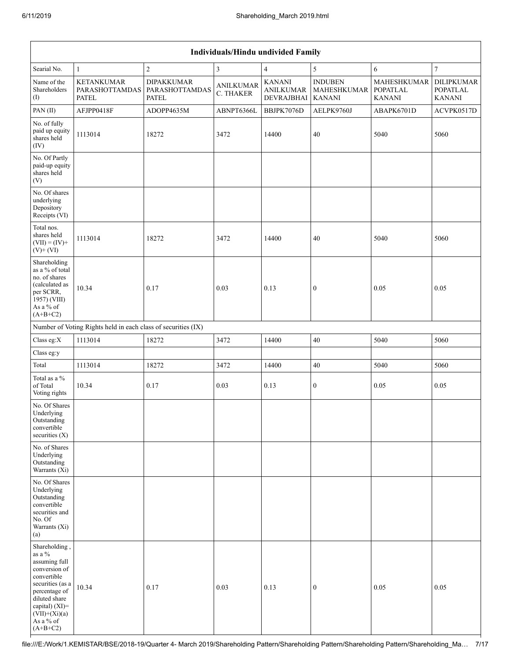|                                                                                                                                                                                                      | Individuals/Hindu undivided Family                            |                                                     |                               |                                                 |                                                       |                                                        |                                                       |  |  |  |
|------------------------------------------------------------------------------------------------------------------------------------------------------------------------------------------------------|---------------------------------------------------------------|-----------------------------------------------------|-------------------------------|-------------------------------------------------|-------------------------------------------------------|--------------------------------------------------------|-------------------------------------------------------|--|--|--|
| Searial No.                                                                                                                                                                                          | $\mathbf{1}$                                                  | $\boldsymbol{2}$                                    | $\overline{3}$                | $\overline{4}$                                  | 5                                                     | 6                                                      | $\overline{7}$                                        |  |  |  |
| Name of the<br>Shareholders<br>(1)                                                                                                                                                                   | <b>KETANKUMAR</b><br>PARASHOTTAMDAS<br><b>PATEL</b>           | <b>DIPAKKUMAR</b><br>PARASHOTTAMDAS<br><b>PATEL</b> | <b>ANILKUMAR</b><br>C. THAKER | <b>KANANI</b><br><b>ANILKUMAR</b><br>DEVRAJBHAI | <b>INDUBEN</b><br><b>MAHESHKUMAR</b><br><b>KANANI</b> | <b>MAHESHKUMAR</b><br><b>POPATLAL</b><br><b>KANANI</b> | <b>DILIPKUMAR</b><br><b>POPATLAL</b><br><b>KANANI</b> |  |  |  |
| PAN(II)                                                                                                                                                                                              | AFJPP0418F                                                    | ADOPP4635M                                          | ABNPT6366L                    | BBJPK7076D                                      | AELPK9760J                                            | ABAPK6701D                                             | ACVPK0517D                                            |  |  |  |
| No. of fully<br>paid up equity<br>shares held<br>(IV)                                                                                                                                                | 1113014                                                       | 18272                                               | 3472                          | 14400                                           | 40                                                    | 5040                                                   | 5060                                                  |  |  |  |
| No. Of Partly<br>paid-up equity<br>shares held<br>(V)                                                                                                                                                |                                                               |                                                     |                               |                                                 |                                                       |                                                        |                                                       |  |  |  |
| No. Of shares<br>underlying<br>Depository<br>Receipts (VI)                                                                                                                                           |                                                               |                                                     |                               |                                                 |                                                       |                                                        |                                                       |  |  |  |
| Total nos.<br>shares held<br>$(VII) = (IV) +$<br>$(V)$ + $(VI)$                                                                                                                                      | 1113014                                                       | 18272                                               | 3472                          | 14400                                           | 40                                                    | 5040                                                   | 5060                                                  |  |  |  |
| Shareholding<br>as a % of total<br>no. of shares<br>(calculated as<br>per SCRR,<br>1957) (VIII)<br>As a % of<br>$(A+B+C2)$                                                                           | 10.34                                                         | 0.17                                                | 0.03                          | 0.13                                            | $\mathbf{0}$                                          | 0.05                                                   | 0.05                                                  |  |  |  |
|                                                                                                                                                                                                      | Number of Voting Rights held in each class of securities (IX) |                                                     |                               |                                                 |                                                       |                                                        |                                                       |  |  |  |
| Class eg:X                                                                                                                                                                                           | 1113014                                                       | 18272                                               | 3472                          | 14400                                           | $40\,$                                                | 5040                                                   | 5060                                                  |  |  |  |
| Class eg:y                                                                                                                                                                                           |                                                               |                                                     |                               |                                                 |                                                       |                                                        |                                                       |  |  |  |
| Total                                                                                                                                                                                                | 1113014                                                       | 18272                                               | 3472                          | 14400                                           | $40\,$                                                | 5040                                                   | 5060                                                  |  |  |  |
| Total as a %<br>of Total<br>Voting rights                                                                                                                                                            | 10.34                                                         | 0.17                                                | 0.03                          | 0.13                                            | $\boldsymbol{0}$                                      | 0.05                                                   | 0.05                                                  |  |  |  |
| No. Of Shares<br>Underlying<br>Outstanding<br>convertible<br>securities (X)                                                                                                                          |                                                               |                                                     |                               |                                                 |                                                       |                                                        |                                                       |  |  |  |
| No. of Shares<br>Underlying<br>Outstanding<br>Warrants (Xi)                                                                                                                                          |                                                               |                                                     |                               |                                                 |                                                       |                                                        |                                                       |  |  |  |
| No. Of Shares<br>Underlying<br>Outstanding<br>convertible<br>securities and<br>No. Of<br>Warrants (Xi)<br>(a)                                                                                        |                                                               |                                                     |                               |                                                 |                                                       |                                                        |                                                       |  |  |  |
| Shareholding,<br>as a $\%$<br>assuming full<br>conversion of<br>convertible<br>securities (as a<br>percentage of<br>diluted share<br>capital) $(XI)$ =<br>$(VII)+(Xi)(a)$<br>As a % of<br>$(A+B+C2)$ | 10.34                                                         | 0.17                                                | 0.03                          | 0.13                                            | $\boldsymbol{0}$                                      | 0.05                                                   | 0.05                                                  |  |  |  |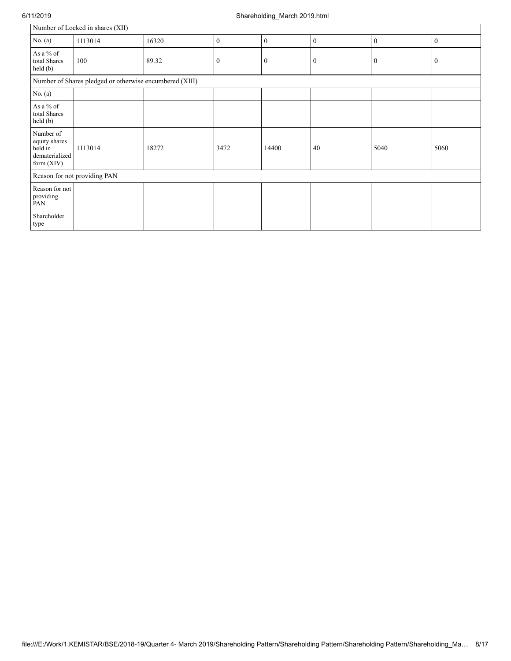### 6/11/2019 Shareholding\_March 2019.html

|                                                                       | Number of Locked in shares (XII) |       |                  |                  |                  |              |              |  |  |  |
|-----------------------------------------------------------------------|----------------------------------|-------|------------------|------------------|------------------|--------------|--------------|--|--|--|
| No. $(a)$                                                             | 1113014                          | 16320 | $\mathbf{0}$     | $\boldsymbol{0}$ | $\boldsymbol{0}$ | $\mathbf{0}$ | $\mathbf{0}$ |  |  |  |
| As a % of<br>total Shares<br>$\text{held}(\text{b})$                  | 100                              | 89.32 | $\boldsymbol{0}$ | $\bf{0}$         | $\bf{0}$         | $\bf{0}$     | 0            |  |  |  |
| Number of Shares pledged or otherwise encumbered (XIII)               |                                  |       |                  |                  |                  |              |              |  |  |  |
| No. $(a)$                                                             |                                  |       |                  |                  |                  |              |              |  |  |  |
| As a % of<br>total Shares<br>held(b)                                  |                                  |       |                  |                  |                  |              |              |  |  |  |
| Number of<br>equity shares<br>held in<br>dematerialized<br>form (XIV) | 1113014                          | 18272 | 3472             | 14400            | 40               | 5040         | 5060         |  |  |  |
|                                                                       | Reason for not providing PAN     |       |                  |                  |                  |              |              |  |  |  |
| Reason for not<br>providing<br>PAN                                    |                                  |       |                  |                  |                  |              |              |  |  |  |
| Shareholder<br>type                                                   |                                  |       |                  |                  |                  |              |              |  |  |  |
|                                                                       |                                  |       |                  |                  |                  |              |              |  |  |  |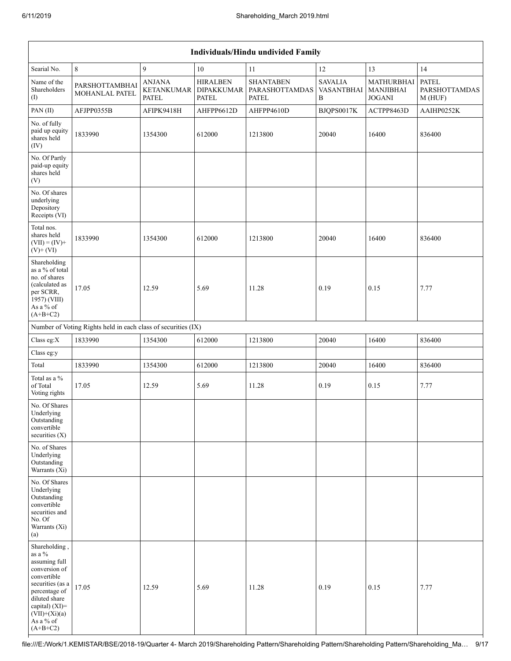|                                                                                                                                                                                                      | Individuals/Hindu undivided Family                            |                                                    |                                        |                                                    |                                          |                                                 |                                         |  |  |  |  |
|------------------------------------------------------------------------------------------------------------------------------------------------------------------------------------------------------|---------------------------------------------------------------|----------------------------------------------------|----------------------------------------|----------------------------------------------------|------------------------------------------|-------------------------------------------------|-----------------------------------------|--|--|--|--|
| Searial No.                                                                                                                                                                                          | $\,8\,$                                                       | 9                                                  | 10                                     | $11\,$                                             | 12                                       | 13                                              | 14                                      |  |  |  |  |
| Name of the<br>Shareholders<br>(I)                                                                                                                                                                   | PARSHOTTAMBHAI<br>MOHANLAL PATEL                              | <b>ANJANA</b><br><b>KETANKUMAR</b><br><b>PATEL</b> | <b>HIRALBEN</b><br>DIPAKKUMAR<br>PATEL | <b>SHANTABEN</b><br>PARASHOTTAMDAS<br><b>PATEL</b> | <b>SAVALIA</b><br><b>VASANTBHAI</b><br>B | MATHURBHAI<br><b>MANJIBHAI</b><br><b>JOGANI</b> | <b>PATEL</b><br>PARSHOTTAMDAS<br>M(HUF) |  |  |  |  |
| PAN(II)                                                                                                                                                                                              | AFJPP0355B                                                    | AFIPK9418H                                         | AHFPP6612D                             | AHFPP4610D                                         | BJQPS0017K                               | ACTPP8463D                                      | AAIHP0252K                              |  |  |  |  |
| No. of fully<br>paid up equity<br>shares held<br>(IV)                                                                                                                                                | 1833990                                                       | 1354300                                            | 612000                                 | 1213800                                            | 20040                                    | 16400                                           | 836400                                  |  |  |  |  |
| No. Of Partly<br>paid-up equity<br>shares held<br>(V)                                                                                                                                                |                                                               |                                                    |                                        |                                                    |                                          |                                                 |                                         |  |  |  |  |
| No. Of shares<br>underlying<br>Depository<br>Receipts (VI)                                                                                                                                           |                                                               |                                                    |                                        |                                                    |                                          |                                                 |                                         |  |  |  |  |
| Total nos.<br>shares held<br>$(VII) = (IV) +$<br>$(V)$ + $(VI)$                                                                                                                                      | 1833990                                                       | 1354300                                            | 612000                                 | 1213800                                            | 20040                                    | 16400                                           | 836400                                  |  |  |  |  |
| Shareholding<br>as a % of total<br>no. of shares<br>(calculated as<br>per SCRR,<br>1957) (VIII)<br>As a % of<br>$(A+B+C2)$                                                                           | 17.05                                                         | 12.59                                              | 5.69                                   | 11.28                                              | 0.19                                     | 0.15                                            | 7.77                                    |  |  |  |  |
|                                                                                                                                                                                                      | Number of Voting Rights held in each class of securities (IX) |                                                    |                                        |                                                    |                                          |                                                 |                                         |  |  |  |  |
| Class eg:X                                                                                                                                                                                           | 1833990                                                       | 1354300                                            | 612000                                 | 1213800                                            | 20040                                    | 16400                                           | 836400                                  |  |  |  |  |
| Class eg:y                                                                                                                                                                                           |                                                               |                                                    |                                        |                                                    |                                          |                                                 |                                         |  |  |  |  |
| Total                                                                                                                                                                                                | 1833990                                                       | 1354300                                            | 612000                                 | 1213800                                            | 20040                                    | 16400                                           | 836400                                  |  |  |  |  |
| Total as a %<br>of Total<br>Voting rights                                                                                                                                                            | 17.05                                                         | 12.59                                              | 5.69                                   | 11.28                                              | 0.19                                     | 0.15                                            | 7.77                                    |  |  |  |  |
| No. Of Shares<br>Underlying<br>Outstanding<br>convertible<br>securities $(X)$                                                                                                                        |                                                               |                                                    |                                        |                                                    |                                          |                                                 |                                         |  |  |  |  |
| No. of Shares<br>Underlying<br>Outstanding<br>Warrants $(X_i)$                                                                                                                                       |                                                               |                                                    |                                        |                                                    |                                          |                                                 |                                         |  |  |  |  |
| No. Of Shares<br>Underlying<br>Outstanding<br>convertible<br>securities and<br>No. Of<br>Warrants (Xi)<br>(a)                                                                                        |                                                               |                                                    |                                        |                                                    |                                          |                                                 |                                         |  |  |  |  |
| Shareholding,<br>as a $\%$<br>assuming full<br>conversion of<br>convertible<br>securities (as a<br>percentage of<br>diluted share<br>capital) $(XI)$ =<br>$(VII)+(Xi)(a)$<br>As a % of<br>$(A+B+C2)$ | 17.05                                                         | 12.59                                              | 5.69                                   | 11.28                                              | 0.19                                     | 0.15                                            | 7.77                                    |  |  |  |  |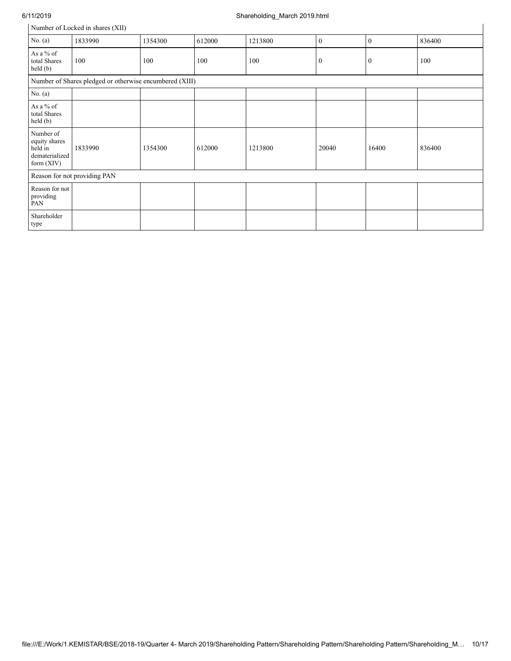## 6/11/2019 Shareholding\_March 2019.html

# Number of Locked in shares (XII)

| Number of Locked in shares (XII)                                        |                              |         |        |         |              |              |        |  |  |
|-------------------------------------------------------------------------|------------------------------|---------|--------|---------|--------------|--------------|--------|--|--|
| No. $(a)$                                                               | 1833990                      | 1354300 | 612000 | 1213800 | $\mathbf{0}$ | $\mathbf{0}$ | 836400 |  |  |
| As a % of<br>total Shares<br>held(b)                                    | 100                          | 100     | 100    | 100     | $\bf{0}$     | $\bf{0}$     | 100    |  |  |
| Number of Shares pledged or otherwise encumbered (XIII)                 |                              |         |        |         |              |              |        |  |  |
| No. (a)                                                                 |                              |         |        |         |              |              |        |  |  |
| As a % of<br>total Shares<br>held (b)                                   |                              |         |        |         |              |              |        |  |  |
| Number of<br>equity shares<br>held in<br>dematerialized<br>form $(XIV)$ | 1833990                      | 1354300 | 612000 | 1213800 | 20040        | 16400        | 836400 |  |  |
|                                                                         | Reason for not providing PAN |         |        |         |              |              |        |  |  |
| Reason for not<br>providing<br>PAN                                      |                              |         |        |         |              |              |        |  |  |
| Shareholder<br>type                                                     |                              |         |        |         |              |              |        |  |  |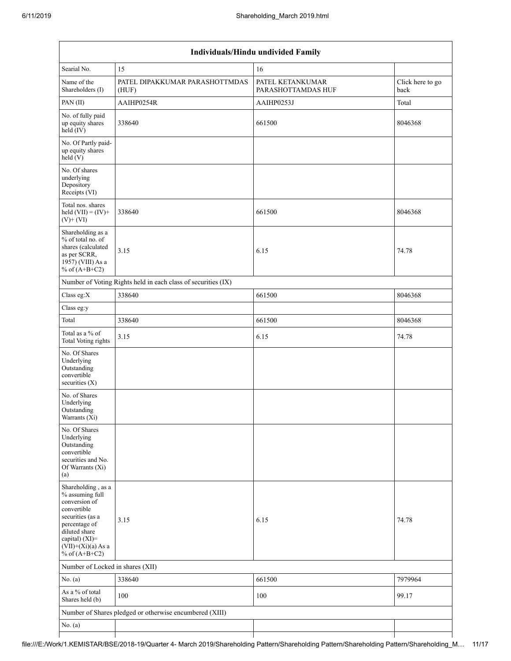| Individuals/Hindu undivided Family                                                                                                                                                       |                                                               |                                        |                          |  |  |  |  |  |  |  |
|------------------------------------------------------------------------------------------------------------------------------------------------------------------------------------------|---------------------------------------------------------------|----------------------------------------|--------------------------|--|--|--|--|--|--|--|
| Searial No.                                                                                                                                                                              | 15                                                            | 16                                     |                          |  |  |  |  |  |  |  |
| Name of the<br>Shareholders (I)                                                                                                                                                          | PATEL DIPAKKUMAR PARASHOTTMDAS<br>(HUF)                       | PATEL KETANKUMAR<br>PARASHOTTAMDAS HUF | Click here to go<br>back |  |  |  |  |  |  |  |
| PAN(II)                                                                                                                                                                                  | AAIHP0254R                                                    | AAIHP0253J                             | Total                    |  |  |  |  |  |  |  |
| No. of fully paid<br>up equity shares<br>held (IV)                                                                                                                                       | 338640                                                        | 661500                                 | 8046368                  |  |  |  |  |  |  |  |
| No. Of Partly paid-<br>up equity shares<br>held(V)                                                                                                                                       |                                                               |                                        |                          |  |  |  |  |  |  |  |
| No. Of shares<br>underlying<br>Depository<br>Receipts (VI)                                                                                                                               |                                                               |                                        |                          |  |  |  |  |  |  |  |
| Total nos. shares<br>held $(VII) = (IV) +$<br>$(V)$ + $(VI)$                                                                                                                             | 338640                                                        | 661500                                 | 8046368                  |  |  |  |  |  |  |  |
| Shareholding as a<br>% of total no. of<br>shares (calculated<br>as per SCRR,<br>1957) (VIII) As a<br>% of $(A+B+C2)$                                                                     | 3.15                                                          | 6.15                                   | 74.78                    |  |  |  |  |  |  |  |
|                                                                                                                                                                                          | Number of Voting Rights held in each class of securities (IX) |                                        |                          |  |  |  |  |  |  |  |
| Class eg:X                                                                                                                                                                               | 338640                                                        | 661500                                 | 8046368                  |  |  |  |  |  |  |  |
| Class eg:y                                                                                                                                                                               |                                                               |                                        |                          |  |  |  |  |  |  |  |
| Total                                                                                                                                                                                    | 338640                                                        | 661500                                 | 8046368                  |  |  |  |  |  |  |  |
| Total as a % of<br><b>Total Voting rights</b>                                                                                                                                            | 3.15                                                          | 6.15                                   | 74.78                    |  |  |  |  |  |  |  |
| No. Of Shares<br>Underlying<br>Outstanding<br>convertible<br>securities $(X)$                                                                                                            |                                                               |                                        |                          |  |  |  |  |  |  |  |
| No. of Shares<br>Underlying<br>Outstanding<br>Warrants (Xi)                                                                                                                              |                                                               |                                        |                          |  |  |  |  |  |  |  |
| No. Of Shares<br>Underlying<br>Outstanding<br>convertible<br>securities and No.<br>Of Warrants (Xi)<br>(a)                                                                               |                                                               |                                        |                          |  |  |  |  |  |  |  |
| Shareholding, as a<br>% assuming full<br>conversion of<br>convertible<br>securities (as a<br>percentage of<br>diluted share<br>capital) (XI)=<br>$(VII)+(Xi)(a)$ As a<br>% of $(A+B+C2)$ | 3.15                                                          | 6.15                                   | 74.78                    |  |  |  |  |  |  |  |
| Number of Locked in shares (XII)                                                                                                                                                         |                                                               |                                        |                          |  |  |  |  |  |  |  |
| No. $(a)$                                                                                                                                                                                | 338640                                                        | 661500                                 | 7979964                  |  |  |  |  |  |  |  |
| As a % of total<br>Shares held (b)                                                                                                                                                       | 100                                                           | 100                                    | 99.17                    |  |  |  |  |  |  |  |
|                                                                                                                                                                                          | Number of Shares pledged or otherwise encumbered (XIII)       |                                        |                          |  |  |  |  |  |  |  |
| No. $(a)$                                                                                                                                                                                |                                                               |                                        |                          |  |  |  |  |  |  |  |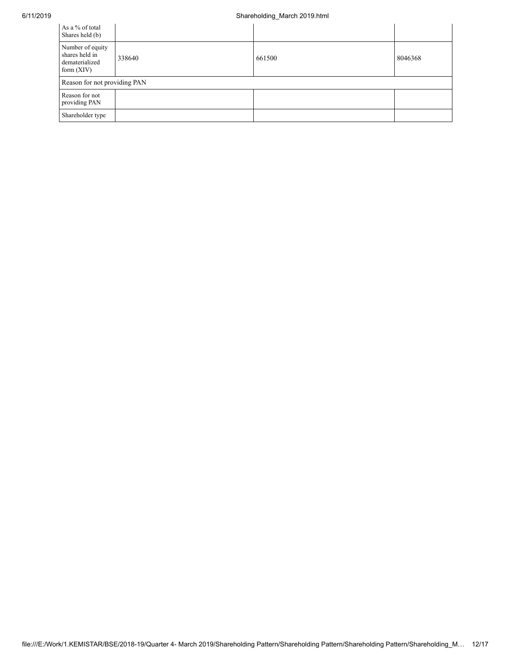## 6/11/2019 Shareholding\_March 2019.html

| As a % of total<br>Shares held (b)                                   |        |        |         |
|----------------------------------------------------------------------|--------|--------|---------|
| Number of equity<br>shares held in<br>dematerialized<br>form $(XIV)$ | 338640 | 661500 | 8046368 |
| Reason for not providing PAN                                         |        |        |         |
| Reason for not<br>providing PAN                                      |        |        |         |
| Shareholder type                                                     |        |        |         |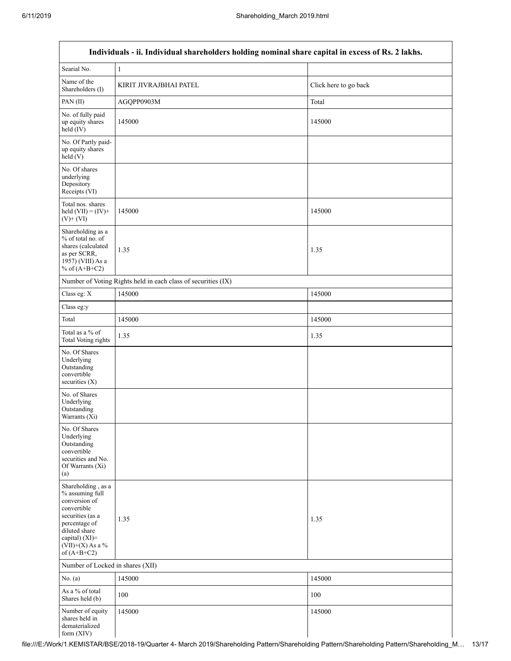$\mathsf I$ 

| Individuals - ii. Individual shareholders holding nominal share capital in excess of Rs. 2 lakhs.                                                                                    |                                                               |                       |  |  |  |
|--------------------------------------------------------------------------------------------------------------------------------------------------------------------------------------|---------------------------------------------------------------|-----------------------|--|--|--|
| Searial No.                                                                                                                                                                          | $\,1\,$                                                       |                       |  |  |  |
| Name of the<br>Shareholders (I)                                                                                                                                                      | KIRIT JIVRAJBHAI PATEL                                        | Click here to go back |  |  |  |
| PAN (II)                                                                                                                                                                             | AGQPP0903M                                                    | Total                 |  |  |  |
| No. of fully paid<br>up equity shares<br>held (IV)                                                                                                                                   | 145000                                                        | 145000                |  |  |  |
| No. Of Partly paid-<br>up equity shares<br>held (V)                                                                                                                                  |                                                               |                       |  |  |  |
| No. Of shares<br>underlying<br>Depository<br>Receipts (VI)                                                                                                                           |                                                               |                       |  |  |  |
| Total nos. shares<br>held $(VII) = (IV) +$<br>$(V)$ + $(VI)$                                                                                                                         | 145000                                                        | 145000                |  |  |  |
| Shareholding as a<br>% of total no. of<br>shares (calculated<br>as per SCRR,<br>1957) (VIII) As a<br>% of $(A+B+C2)$                                                                 | 1.35                                                          | 1.35                  |  |  |  |
|                                                                                                                                                                                      | Number of Voting Rights held in each class of securities (IX) |                       |  |  |  |
| Class eg: X                                                                                                                                                                          | 145000                                                        | 145000                |  |  |  |
| Class eg:y                                                                                                                                                                           |                                                               |                       |  |  |  |
| Total                                                                                                                                                                                | 145000                                                        | 145000                |  |  |  |
| Total as a % of<br>Total Voting rights                                                                                                                                               | 1.35                                                          | 1.35                  |  |  |  |
| No. Of Shares<br>Underlying<br>Outstanding<br>convertible<br>securities $(X)$                                                                                                        |                                                               |                       |  |  |  |
| No. of Shares<br>Underlying<br>Outstanding<br>Warrants (Xi)                                                                                                                          |                                                               |                       |  |  |  |
| No. Of Shares<br>Underlying<br>Outstanding<br>convertible<br>securities and No.<br>Of Warrants (Xi)<br>(a)                                                                           |                                                               |                       |  |  |  |
| Shareholding, as a<br>% assuming full<br>conversion of<br>convertible<br>securities (as a<br>percentage of<br>diluted share<br>capital) (XI)=<br>$(VII)+(X)$ As a %<br>of $(A+B+C2)$ | 1.35                                                          | 1.35                  |  |  |  |
| Number of Locked in shares (XII)                                                                                                                                                     |                                                               |                       |  |  |  |
| No. $(a)$                                                                                                                                                                            | 145000                                                        | 145000                |  |  |  |
| As a % of total<br>Shares held (b)                                                                                                                                                   | 100                                                           | 100                   |  |  |  |
| Number of equity<br>shares held in<br>dematerialized<br>form (XIV)                                                                                                                   | 145000                                                        | 145000                |  |  |  |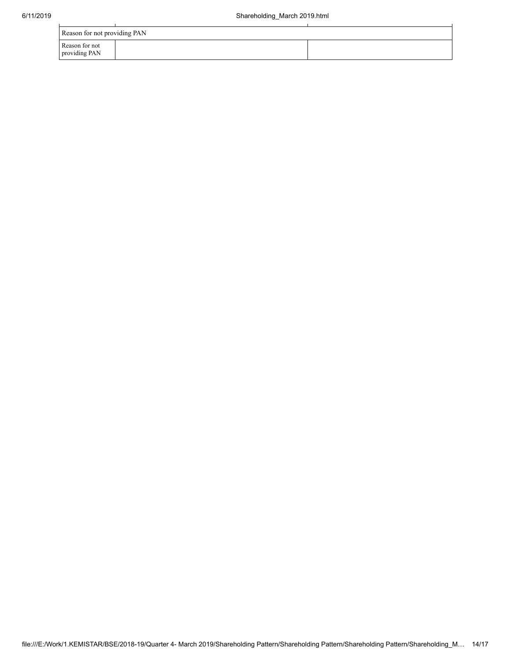| Reason for not providing PAN    |  |  |  |  |
|---------------------------------|--|--|--|--|
| Reason for not<br>providing PAN |  |  |  |  |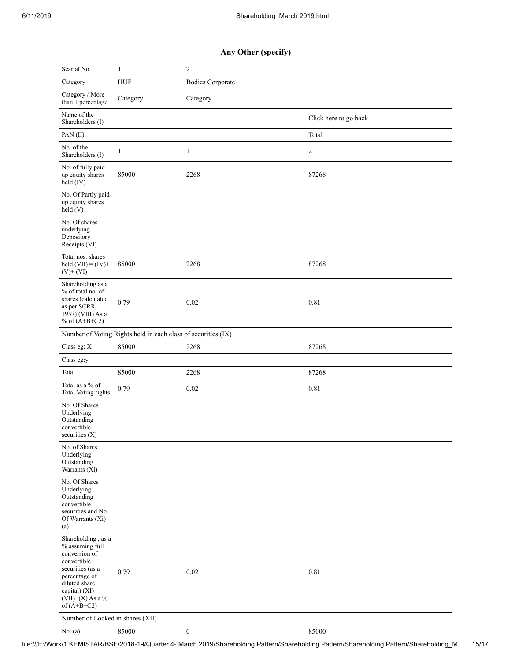| Any Other (specify)                                                                                                                                                                     |                                                               |                         |                       |  |  |
|-----------------------------------------------------------------------------------------------------------------------------------------------------------------------------------------|---------------------------------------------------------------|-------------------------|-----------------------|--|--|
| Searial No.                                                                                                                                                                             | $\mathbf{1}$                                                  | $\overline{c}$          |                       |  |  |
| Category                                                                                                                                                                                | <b>HUF</b>                                                    | <b>Bodies Corporate</b> |                       |  |  |
| Category / More<br>than 1 percentage                                                                                                                                                    | Category                                                      | Category                |                       |  |  |
| Name of the<br>Shareholders (I)                                                                                                                                                         |                                                               |                         | Click here to go back |  |  |
| PAN(II)                                                                                                                                                                                 |                                                               |                         | Total                 |  |  |
| No. of the<br>Shareholders (I)                                                                                                                                                          | $\mathbf{1}$                                                  | $\mathbf{1}$            | $\sqrt{2}$            |  |  |
| No. of fully paid<br>up equity shares<br>$held$ (IV)                                                                                                                                    | 85000                                                         | 2268                    | 87268                 |  |  |
| No. Of Partly paid-<br>up equity shares<br>held $(V)$                                                                                                                                   |                                                               |                         |                       |  |  |
| No. Of shares<br>underlying<br>Depository<br>Receipts (VI)                                                                                                                              |                                                               |                         |                       |  |  |
| Total nos. shares<br>held $(VII) = (IV) +$<br>$(V)$ + $(VI)$                                                                                                                            | 85000                                                         | 2268                    | 87268                 |  |  |
| Shareholding as a<br>% of total no. of<br>shares (calculated<br>as per SCRR,<br>1957) (VIII) As a<br>% of $(A+B+C2)$                                                                    | 0.79                                                          | 0.02                    | 0.81                  |  |  |
|                                                                                                                                                                                         | Number of Voting Rights held in each class of securities (IX) |                         |                       |  |  |
| Class eg: X                                                                                                                                                                             | 85000                                                         | 2268                    | 87268                 |  |  |
| Class eg:y                                                                                                                                                                              |                                                               |                         |                       |  |  |
| Total                                                                                                                                                                                   | 85000                                                         | 2268                    | 87268                 |  |  |
| Total as a % of<br><b>Total Voting rights</b>                                                                                                                                           | 0.79                                                          | $0.02\,$                | 0.81                  |  |  |
| No. Of Shares<br>Underlying<br>Outstanding<br>convertible<br>securities $(X)$                                                                                                           |                                                               |                         |                       |  |  |
| No. of Shares<br>Underlying<br>Outstanding<br>Warrants (Xi)                                                                                                                             |                                                               |                         |                       |  |  |
| No. Of Shares<br>Underlying<br>Outstanding<br>convertible<br>securities and No.<br>Of Warrants (Xi)<br>(a)                                                                              |                                                               |                         |                       |  |  |
| Shareholding, as a<br>% assuming full<br>conversion of<br>convertible<br>securities (as a<br>percentage of<br>diluted share<br>capital) $(XI)$ =<br>$(VII)+(X)$ As a %<br>of $(A+B+C2)$ | 0.79                                                          | 0.02                    | 0.81                  |  |  |
|                                                                                                                                                                                         | Number of Locked in shares (XII)                              |                         |                       |  |  |
| No. $(a)$                                                                                                                                                                               | 85000                                                         | $\boldsymbol{0}$        | 85000                 |  |  |